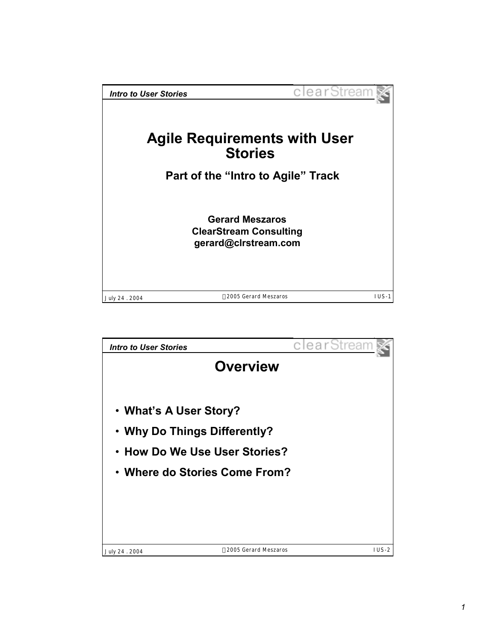

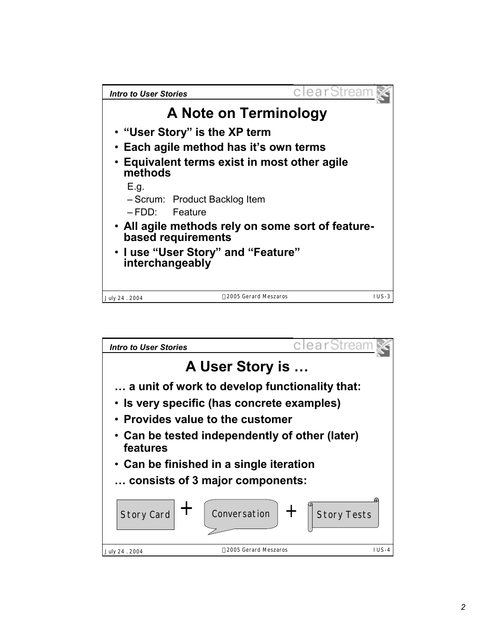

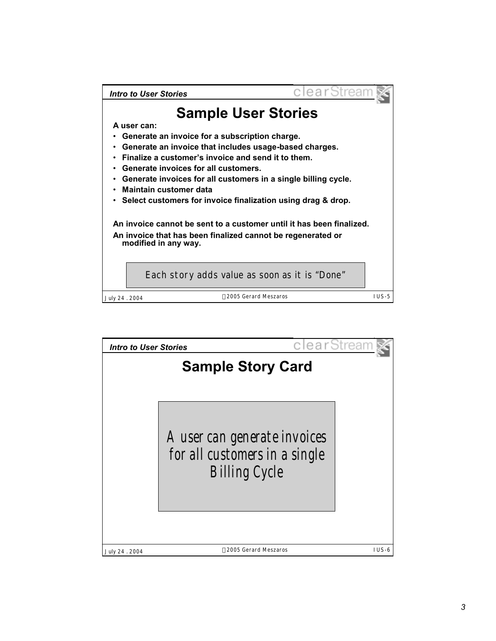

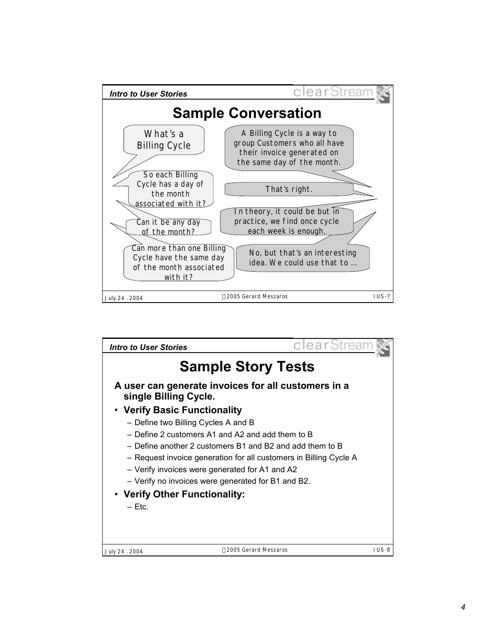

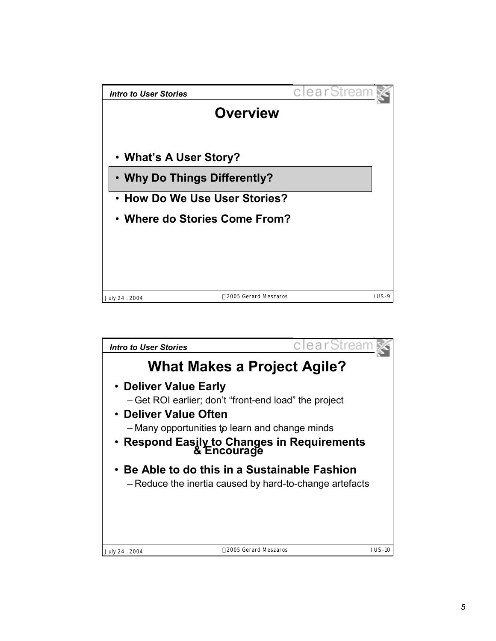

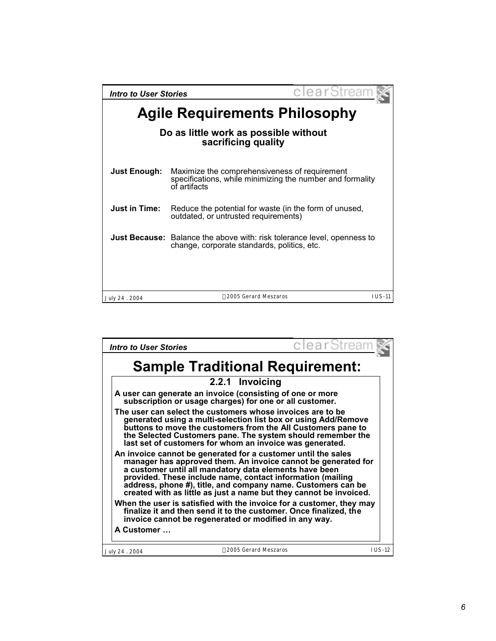| <b>Intro to User Stories</b>                                 | clearStrear                                                                                                                   |           |  |  |
|--------------------------------------------------------------|-------------------------------------------------------------------------------------------------------------------------------|-----------|--|--|
| <b>Agile Requirements Philosophy</b>                         |                                                                                                                               |           |  |  |
| Do as little work as possible without<br>sacrificing quality |                                                                                                                               |           |  |  |
| <b>Just Enough:</b>                                          | Maximize the comprehensiveness of requirement<br>specifications, while minimizing the number and formality<br>of artifacts    |           |  |  |
| <b>Just in Time:</b>                                         | Reduce the potential for waste (in the form of unused,<br>outdated, or untrusted requirements)                                |           |  |  |
|                                                              | <b>Just Because:</b> Balance the above with: risk tolerance level, openness to<br>change, corporate standards, politics, etc. |           |  |  |
|                                                              |                                                                                                                               |           |  |  |
| July 24 . 2004                                               | ©2005 Gerard Meszaros                                                                                                         | $I US-11$ |  |  |

| Intro to User Stories                                                                                                                                                                                                                                                                                                                                                                        | clearStream   |
|----------------------------------------------------------------------------------------------------------------------------------------------------------------------------------------------------------------------------------------------------------------------------------------------------------------------------------------------------------------------------------------------|---------------|
| <b>Sample Traditional Requirement:</b>                                                                                                                                                                                                                                                                                                                                                       |               |
| 2.2.1 Invoicing                                                                                                                                                                                                                                                                                                                                                                              |               |
| A user can generate an invoice (consisting of one or more<br>subscription or usage charges) for one or all customer.                                                                                                                                                                                                                                                                         |               |
| The user can select the customers whose invoices are to be<br>generated using a multi-selection list box or using Add/Remove<br>buttons to move the customers from the All Customers pane to<br>the Selected Customers pane. The system should remember the<br>last set of customers for whom an invoice was generated.                                                                      |               |
| An invoice cannot be generated for a customer until the sales<br>manager has approved them. An invoice cannot be generated for<br>a customer until all mandatory data elements have been<br>provided. These include name, contact information (mailing<br>address, phone #), title, and company name. Customers can be<br>created with as little as just a name but they cannot be invoiced. |               |
| When the user is satisfied with the invoice for a customer, they may<br>finalize it and then send it to the customer. Once finalized, the<br>invoice cannot be regenerated or modified in any way.                                                                                                                                                                                           |               |
| A Customer                                                                                                                                                                                                                                                                                                                                                                                   |               |
| ©2005 Gerard Meszaros<br>July 24 . 2004                                                                                                                                                                                                                                                                                                                                                      | <b>IUS-12</b> |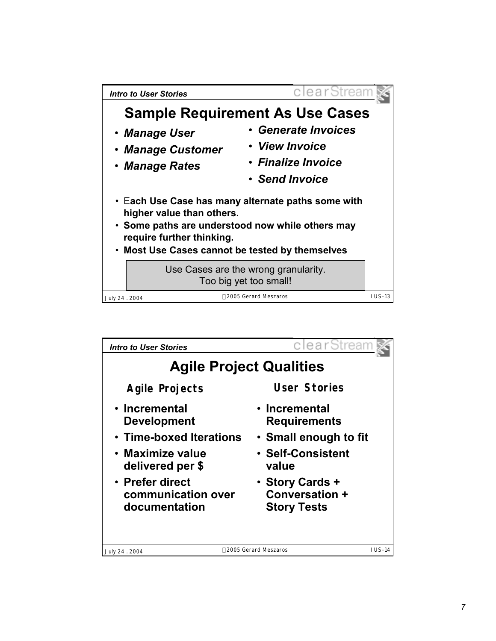

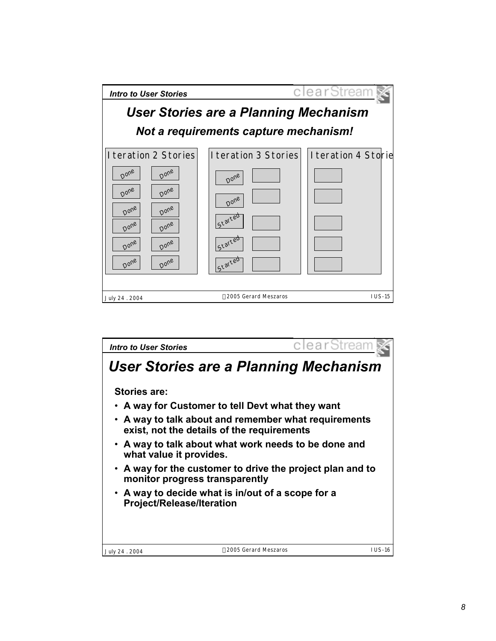

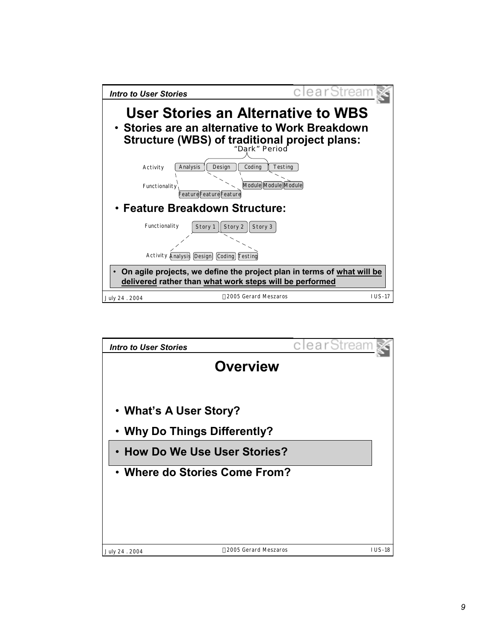

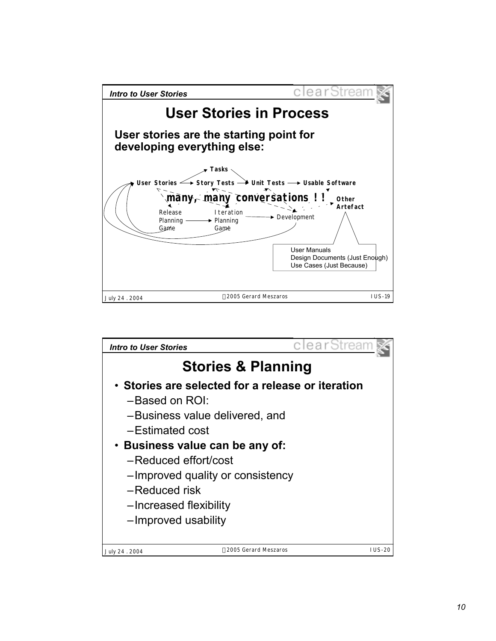

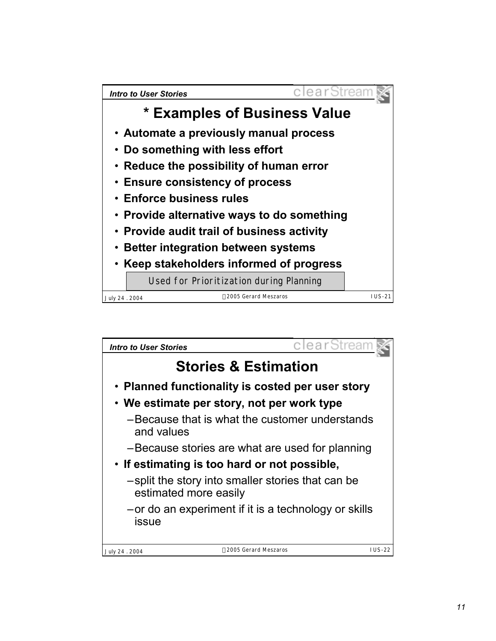

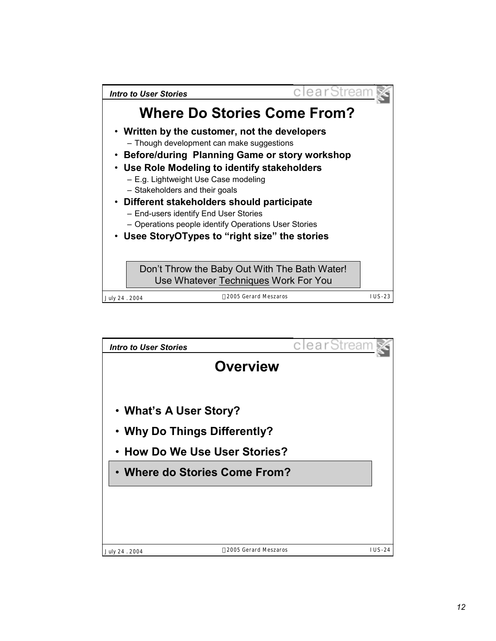

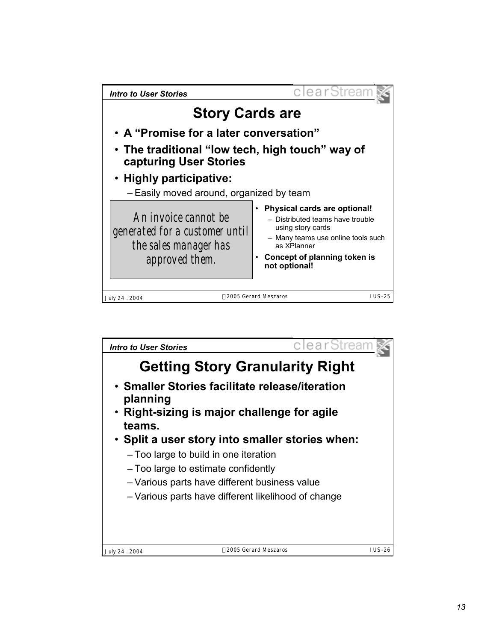

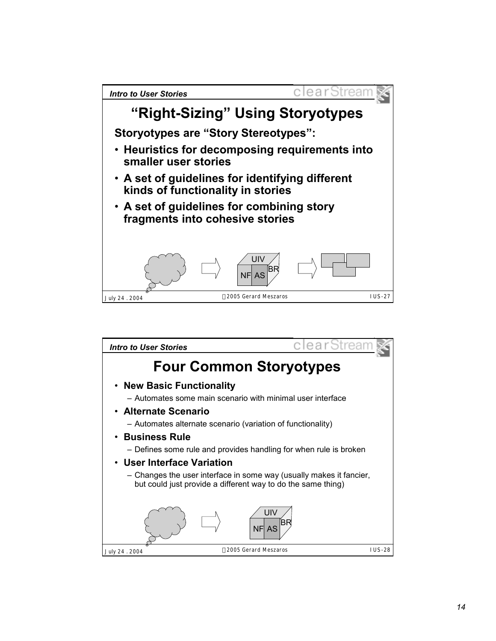

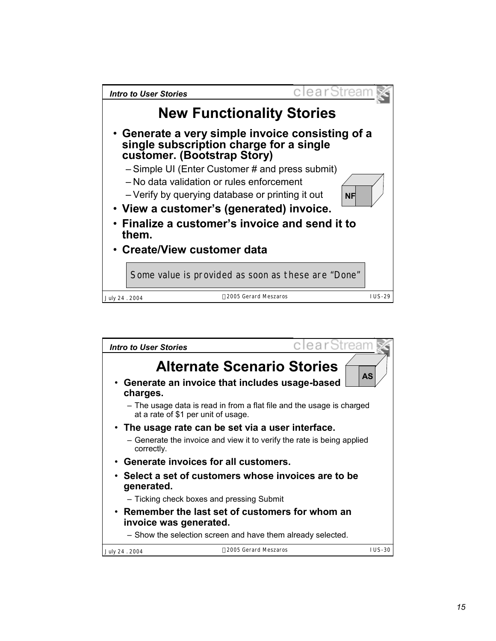

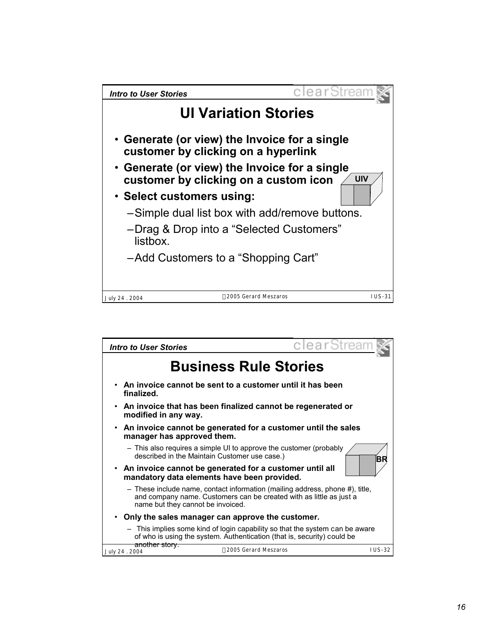

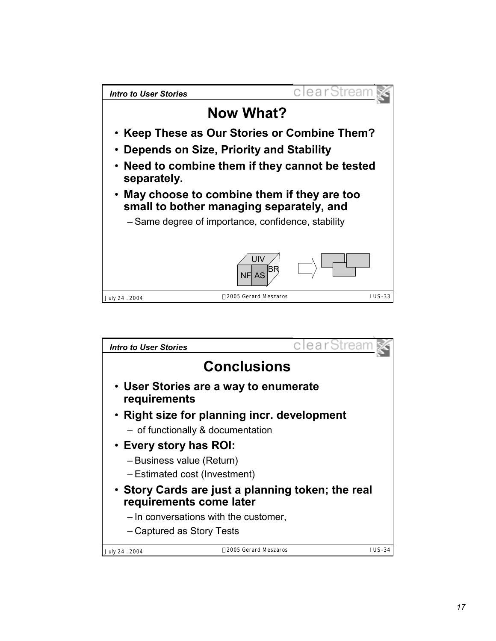

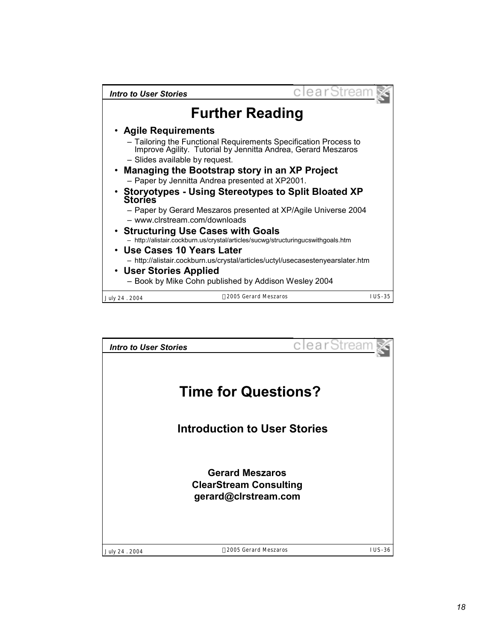| Intro to User Stories                                  |                                                                                                                                                             | clearStream   |  |  |  |
|--------------------------------------------------------|-------------------------------------------------------------------------------------------------------------------------------------------------------------|---------------|--|--|--|
| <b>Further Reading</b>                                 |                                                                                                                                                             |               |  |  |  |
| • Agile Requirements<br>- Slides available by request. | - Tailoring the Functional Requirements Specification Process to<br>Improve Agility. Tutorial by Jennitta Andrea, Gerard Meszaros                           |               |  |  |  |
| <b>Stories</b>                                         | • Managing the Bootstrap story in an XP Project<br>- Paper by Jennitta Andrea presented at XP2001.<br>• Storyotypes - Using Stereotypes to Split Bloated XP |               |  |  |  |
| - www.clrstream.com/downloads                          | - Paper by Gerard Meszaros presented at XP/Agile Universe 2004                                                                                              |               |  |  |  |
| • Structuring Use Cases with Goals                     | - http://alistair.cockburn.us/crystal/articles/sucwg/structuringucswithgoals.htm                                                                            |               |  |  |  |
| • Use Cases 10 Years Later<br>• User Stories Applied   | - http://alistair.cockburn.us/crystal/articles/uctyl/usecasestenyearslater.htm<br>- Book by Mike Cohn published by Addison Wesley 2004                      |               |  |  |  |
| July 24 . 2004                                         | ©2005 Gerard Meszaros                                                                                                                                       | <b>IUS-35</b> |  |  |  |

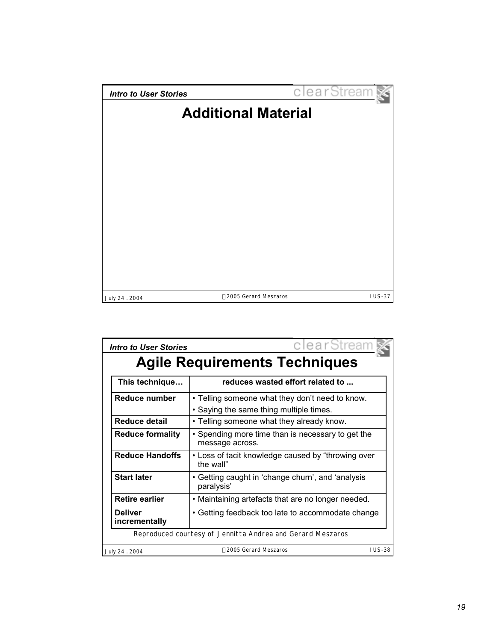

| <b>Intro to User Stories</b>                               | clearStream                                                                                |  |  |  |  |  |
|------------------------------------------------------------|--------------------------------------------------------------------------------------------|--|--|--|--|--|
| <b>Agile Requirements Techniques</b>                       |                                                                                            |  |  |  |  |  |
| This technique                                             | reduces wasted effort related to                                                           |  |  |  |  |  |
| Reduce number                                              | • Telling someone what they don't need to know.<br>• Saying the same thing multiple times. |  |  |  |  |  |
| <b>Reduce detail</b>                                       | • Telling someone what they already know.                                                  |  |  |  |  |  |
| <b>Reduce formality</b>                                    | • Spending more time than is necessary to get the<br>message across.                       |  |  |  |  |  |
| <b>Reduce Handoffs</b>                                     | • Loss of tacit knowledge caused by "throwing over<br>the wall"                            |  |  |  |  |  |
| <b>Start later</b>                                         | • Getting caught in 'change churn', and 'analysis<br>paralysis'                            |  |  |  |  |  |
| <b>Retire earlier</b>                                      | • Maintaining artefacts that are no longer needed.                                         |  |  |  |  |  |
| <b>Deliver</b><br>incrementally                            | • Getting feedback too late to accommodate change                                          |  |  |  |  |  |
| Reproduced courtesy of Jennitta Andrea and Gerard Meszaros |                                                                                            |  |  |  |  |  |
| July 24 . 2004                                             | <b>IUS-38</b><br>©2005 Gerard Meszaros                                                     |  |  |  |  |  |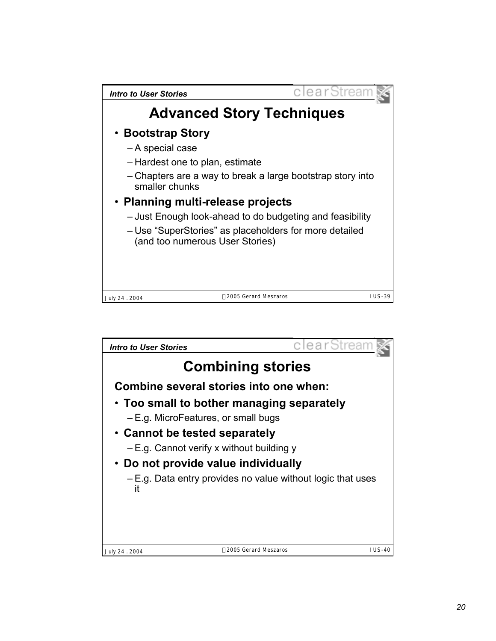

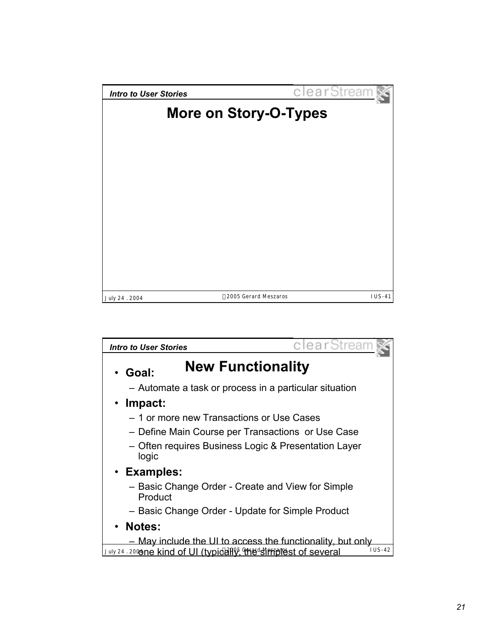

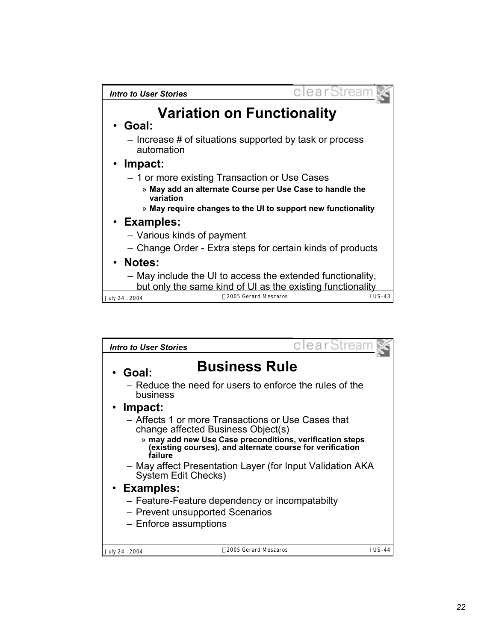| <b>Intro to User Stories</b>                                                                                             |                                   | clearStrean |
|--------------------------------------------------------------------------------------------------------------------------|-----------------------------------|-------------|
| • Goal:                                                                                                                  | <b>Variation on Functionality</b> |             |
| - Increase # of situations supported by task or process<br>automation                                                    |                                   |             |
| • Impact:                                                                                                                |                                   |             |
| - 1 or more existing Transaction or Use Cases                                                                            |                                   |             |
| » May add an alternate Course per Use Case to handle the<br>variation                                                    |                                   |             |
| » May require changes to the UI to support new functionality                                                             |                                   |             |
| • Examples:                                                                                                              |                                   |             |
| - Various kinds of payment                                                                                               |                                   |             |
| - Change Order - Extra steps for certain kinds of products                                                               |                                   |             |
| • Notes:                                                                                                                 |                                   |             |
| - May include the UI to access the extended functionality,<br>but only the same kind of UI as the existing functionality |                                   |             |
| July 24 . 2004                                                                                                           | ©2005 Gerard Meszaros             | $1US-43$    |

| Intro to User Stories                                                                                                            | clearStrean                                               |          |  |
|----------------------------------------------------------------------------------------------------------------------------------|-----------------------------------------------------------|----------|--|
| Goal:                                                                                                                            | <b>Business Rule</b>                                      |          |  |
| business                                                                                                                         | - Reduce the need for users to enforce the rules of the   |          |  |
| Impact:                                                                                                                          |                                                           |          |  |
| - Affects 1 or more Transactions or Use Cases that<br>change affected Business Object(s)                                         |                                                           |          |  |
| » may add new Use Case preconditions, verification steps<br>(existing courses), and alternate course for verification<br>failure |                                                           |          |  |
| System Edit Checks)                                                                                                              | - May affect Presentation Layer (for Input Validation AKA |          |  |
| • Examples:                                                                                                                      |                                                           |          |  |
| - Feature-Feature dependency or incompatabilty<br>- Prevent unsupported Scenarios<br>- Enforce assumptions                       |                                                           |          |  |
|                                                                                                                                  |                                                           |          |  |
| July 24 . 2004                                                                                                                   | ©2005 Gerard Meszaros                                     | $IUS-44$ |  |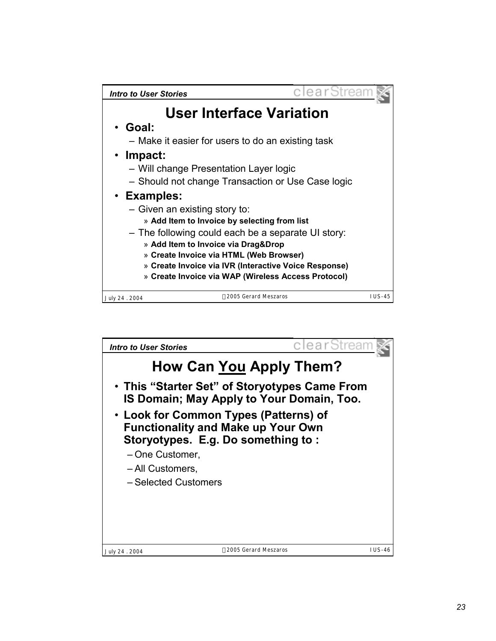

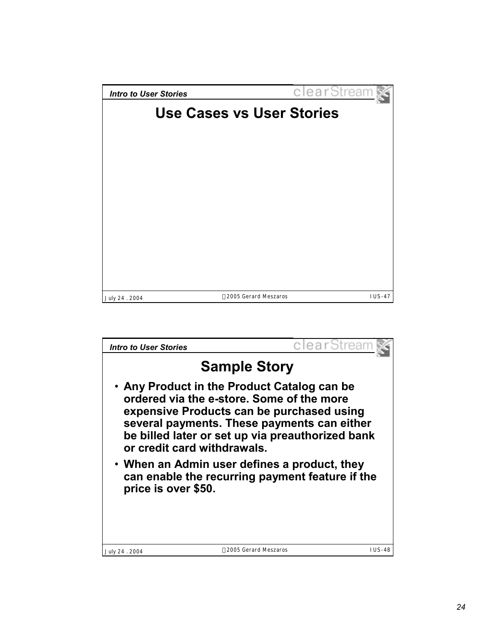